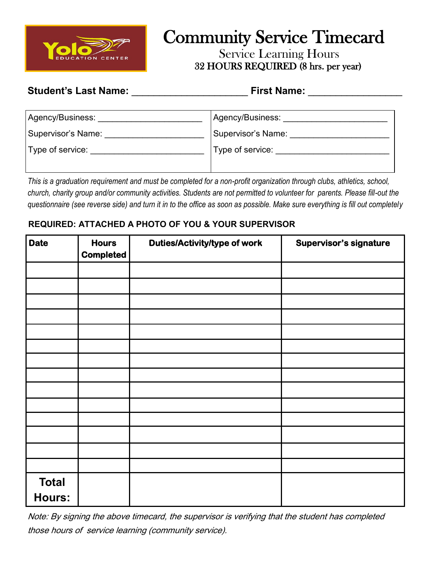

# Community Service Timecard

 Service Learning Hours 32 HOURS REQUIRED (8 hrs. per year)

### **Student's Last Name:**  $\qquad \qquad$  **First Name:**  $\qquad \qquad$

| Agency/Business:   | Agency/Business:   |  |
|--------------------|--------------------|--|
| Supervisor's Name: | Supervisor's Name: |  |
| Type of service:   | Type of service:   |  |
|                    |                    |  |

*This is a graduation requirement and must be completed for a non-profit organization through clubs, athletics, school, church, charity group and/or community activities. Students are not permitted to volunteer for parents. Please fill-out the questionnaire (see reverse side) and turn it in to the office as soon as possible. Make sure everything is fill out completely* 

#### **REQUIRED: ATTACHED A PHOTO OF YOU & YOUR SUPERVISOR**

| <b>Date</b>   | <b>Hours</b><br><b>Completed</b> | <b>Duties/Activity/type of work</b> | Supervisor's signature |
|---------------|----------------------------------|-------------------------------------|------------------------|
|               |                                  |                                     |                        |
|               |                                  |                                     |                        |
|               |                                  |                                     |                        |
|               |                                  |                                     |                        |
|               |                                  |                                     |                        |
|               |                                  |                                     |                        |
|               |                                  |                                     |                        |
|               |                                  |                                     |                        |
|               |                                  |                                     |                        |
|               |                                  |                                     |                        |
|               |                                  |                                     |                        |
|               |                                  |                                     |                        |
|               |                                  |                                     |                        |
|               |                                  |                                     |                        |
| <b>Total</b>  |                                  |                                     |                        |
| <b>Hours:</b> |                                  |                                     |                        |

Note: By signing the above timecard, the supervisor is verifying that the student has completed those hours of service learning (community service).